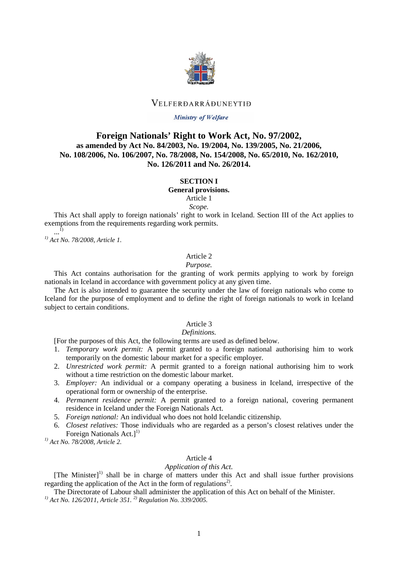

## VELFERDARRÁDUNEYTIÐ

### Ministry of Welfare

# **Foreign Nationals' Right to Work Act, No. 97/2002, as amended by Act No. 84/2003, No. 19/2004, No. 139/2005, No. 21/2006, No. 108/2006, No. 106/2007, No. 78/2008, No. 154/2008, No. 65/2010, No. 162/2010, No. 126/2011 and No. 26/2014.**

## **SECTION I**

**General provisions.**

Article 1

*Scope.*

This Act shall apply to foreign nationals' right to work in Iceland. Section III of the Act applies to exemptions from the requirements regarding work permits. ...1)

*1) Act No. 78/2008, Article 1.*

### Article 2

### *Purpose.*

This Act contains authorisation for the granting of work permits applying to work by foreign nationals in Iceland in accordance with government policy at any given time.

The Act is also intended to guarantee the security under the law of foreign nationals who come to Iceland for the purpose of employment and to define the right of foreign nationals to work in Iceland subject to certain conditions.

### Article 3

## *Definitions.*

[For the purposes of this Act, the following terms are used as defined below.

- 1. *Temporary work permit:* A permit granted to a foreign national authorising him to work temporarily on the domestic labour market for a specific employer.
- 2. *Unrestricted work permit:* A permit granted to a foreign national authorising him to work without a time restriction on the domestic labour market.
- 3. *Employer:* An individual or a company operating a business in Iceland, irrespective of the operational form or ownership of the enterprise.
- 4. *Permanent residence permit:* A permit granted to a foreign national, covering permanent residence in Iceland under the Foreign Nationals Act.
- 5. *Foreign national:* An individual who does not hold Icelandic citizenship.
- 6. *Closest relatives:* Those individuals who are regarded as a person's closest relatives under the Foreign Nationals  $Act.$ ]<sup>1)</sup>

*1) Act No. 78/2008, Article 2.*

## Article 4

### *Application of this Act.*

[The Minister]<sup>1)</sup> shall be in charge of matters under this Act and shall issue further provisions regarding the application of the Act in the form of regulations<sup>2)</sup>.

The Directorate of Labour shall administer the application of this Act on behalf of the Minister.

*1) Act No. 126/2011, Article 351. 2) Regulation No. 339/2005.*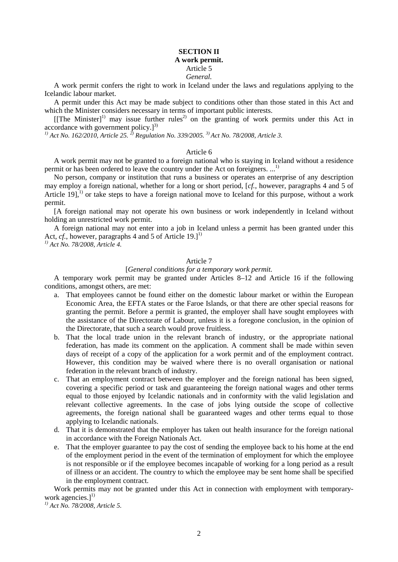## **SECTION II A work permit.** Article 5 *General.*

A work permit confers the right to work in Iceland under the laws and regulations applying to the Icelandic labour market.

A permit under this Act may be made subject to conditions other than those stated in this Act and which the Minister considers necessary in terms of important public interests.

[[The Minister]<sup>1)</sup> may issue further rules<sup>2)</sup> on the granting of work permits under this Act in accordance with government policy. $]^{3)}$ 

*1) Act No. 162/2010, Article 25. 2) Regulation No. 339/2005. 3) Act No. 78/2008, Article 3.*

## Article 6

A work permit may not be granted to a foreign national who is staying in Iceland without a residence permit or has been ordered to leave the country under the Act on foreigners. ...<sup>1)</sup>

No person, company or institution that runs a business or operates an enterprise of any description may employ a foreign national, whether for a long or short period, [*cf.*, however, paragraphs 4 and 5 of Article 19],<sup>1)</sup> or take steps to have a foreign national move to Iceland for this purpose, without a work permit.

[A foreign national may not operate his own business or work independently in Iceland without holding an unrestricted work permit.

A foreign national may not enter into a job in Iceland unless a permit has been granted under this Act, *cf.*, however, paragraphs 4 and 5 of Article 19.<sup>[1]</sup>

*1) Act No. 78/2008, Article 4.*

# Article 7

### [*General conditions for a temporary work permit.*

A temporary work permit may be granted under Articles 8–12 and Article 16 if the following conditions, amongst others, are met:

- a. That employees cannot be found either on the domestic labour market or within the European Economic Area, the EFTA states or the Faroe Islands, or that there are other special reasons for granting the permit. Before a permit is granted, the employer shall have sought employees with the assistance of the Directorate of Labour, unless it is a foregone conclusion, in the opinion of the Directorate, that such a search would prove fruitless.
- b. That the local trade union in the relevant branch of industry, or the appropriate national federation, has made its comment on the application. A comment shall be made within seven days of receipt of a copy of the application for a work permit and of the employment contract. However, this condition may be waived where there is no overall organisation or national federation in the relevant branch of industry.
- c. That an employment contract between the employer and the foreign national has been signed, covering a specific period or task and guaranteeing the foreign national wages and other terms equal to those enjoyed by Icelandic nationals and in conformity with the valid legislation and relevant collective agreements. In the case of jobs lying outside the scope of collective agreements, the foreign national shall be guaranteed wages and other terms equal to those applying to Icelandic nationals.
- d. That it is demonstrated that the employer has taken out health insurance for the foreign national in accordance with the Foreign Nationals Act.
- e. That the employer guarantee to pay the cost of sending the employee back to his home at the end of the employment period in the event of the termination of employment for which the employee is not responsible or if the employee becomes incapable of working for a long period as a result of illness or an accident. The country to which the employee may be sent home shall be specified in the employment contract.

Work permits may not be granted under this Act in connection with employment with temporarywork agencies.]<sup>1)</sup>

*1) Act No. 78/2008, Article 5.*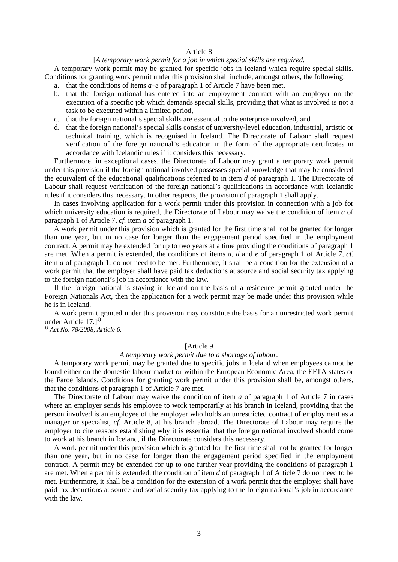### Article 8

### [*A temporary work permit for a job in which special skills are required.*

A temporary work permit may be granted for specific jobs in Iceland which require special skills. Conditions for granting work permit under this provision shall include, amongst others, the following:

- a. that the conditions of items *a–e* of paragraph 1 of Article 7 have been met,
- b. that the foreign national has entered into an employment contract with an employer on the execution of a specific job which demands special skills, providing that what is involved is not a task to be executed within a limited period,
- c. that the foreign national's special skills are essential to the enterprise involved, and
- d. that the foreign national's special skills consist of university-level education, industrial, artistic or technical training, which is recognised in Iceland. The Directorate of Labour shall request verification of the foreign national's education in the form of the appropriate certificates in accordance with Icelandic rules if it considers this necessary.

Furthermore, in exceptional cases, the Directorate of Labour may grant a temporary work permit under this provision if the foreign national involved possesses special knowledge that may be considered the equivalent of the educational qualifications referred to in item *d* of paragraph 1. The Directorate of Labour shall request verification of the foreign national's qualifications in accordance with Icelandic rules if it considers this necessary. In other respects, the provision of paragraph 1 shall apply.

In cases involving application for a work permit under this provision in connection with a job for which university education is required, the Directorate of Labour may waive the condition of item *a* of paragraph 1 of Article 7, *cf.* item *a* of paragraph 1.

A work permit under this provision which is granted for the first time shall not be granted for longer than one year, but in no case for longer than the engagement period specified in the employment contract. A permit may be extended for up to two years at a time providing the conditions of paragraph 1 are met. When a permit is extended, the conditions of items *a, d* and *e* of paragraph 1 of Article 7, *cf.* item *a* of paragraph 1, do not need to be met. Furthermore, it shall be a condition for the extension of a work permit that the employer shall have paid tax deductions at source and social security tax applying to the foreign national's job in accordance with the law.

If the foreign national is staying in Iceland on the basis of a residence permit granted under the Foreign Nationals Act, then the application for a work permit may be made under this provision while he is in Iceland.

A work permit granted under this provision may constitute the basis for an unrestricted work permit under Article  $17.]^{1}$ 

*1) Act No. 78/2008, Article 6.*

### [Article 9

## *A temporary work permit due to a shortage of labour.*

A temporary work permit may be granted due to specific jobs in Iceland when employees cannot be found either on the domestic labour market or within the European Economic Area, the EFTA states or the Faroe Islands. Conditions for granting work permit under this provision shall be, amongst others, that the conditions of paragraph 1 of Article 7 are met.

The Directorate of Labour may waive the condition of item *a* of paragraph 1 of Article 7 in cases where an employer sends his employee to work temporarily at his branch in Iceland, providing that the person involved is an employee of the employer who holds an unrestricted contract of employment as a manager or specialist, *cf.* Article 8, at his branch abroad. The Directorate of Labour may require the employer to cite reasons establishing why it is essential that the foreign national involved should come to work at his branch in Iceland, if the Directorate considers this necessary.

A work permit under this provision which is granted for the first time shall not be granted for longer than one year, but in no case for longer than the engagement period specified in the employment contract. A permit may be extended for up to one further year providing the conditions of paragraph 1 are met. When a permit is extended, the condition of item *d* of paragraph 1 of Article 7 do not need to be met. Furthermore, it shall be a condition for the extension of a work permit that the employer shall have paid tax deductions at source and social security tax applying to the foreign national's job in accordance with the law.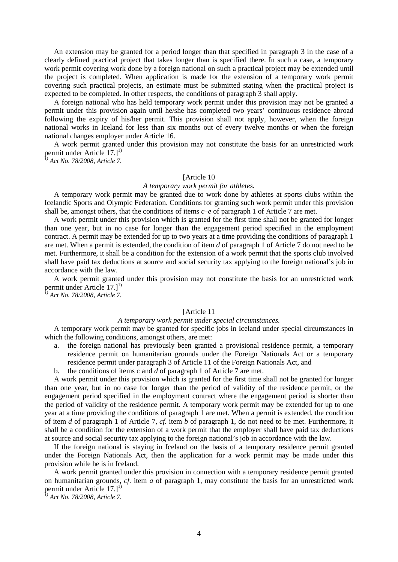An extension may be granted for a period longer than that specified in paragraph 3 in the case of a clearly defined practical project that takes longer than is specified there. In such a case, a temporary work permit covering work done by a foreign national on such a practical project may be extended until the project is completed. When application is made for the extension of a temporary work permit covering such practical projects, an estimate must be submitted stating when the practical project is expected to be completed. In other respects, the conditions of paragraph 3 shall apply.

A foreign national who has held temporary work permit under this provision may not be granted a permit under this provision again until he/she has completed two years' continuous residence abroad following the expiry of his/her permit. This provision shall not apply, however, when the foreign national works in Iceland for less than six months out of every twelve months or when the foreign national changes employer under Article 16.

A work permit granted under this provision may not constitute the basis for an unrestricted work permit under Article  $17.]^{1}$ 

*1) Act No. 78/2008, Article 7.*

### [Article 10]

### *A temporary work permit for athletes.*

A temporary work permit may be granted due to work done by athletes at sports clubs within the Icelandic Sports and Olympic Federation. Conditions for granting such work permit under this provision shall be, amongst others, that the conditions of items  $c-e$  of paragraph 1 of Article 7 are met.

A work permit under this provision which is granted for the first time shall not be granted for longer than one year, but in no case for longer than the engagement period specified in the employment contract. A permit may be extended for up to two years at a time providing the conditions of paragraph 1 are met. When a permit is extended, the condition of item *d* of paragraph 1 of Article 7 do not need to be met. Furthermore, it shall be a condition for the extension of a work permit that the sports club involved shall have paid tax deductions at source and social security tax applying to the foreign national's job in accordance with the law.

A work permit granted under this provision may not constitute the basis for an unrestricted work permit under Article 17.1<sup>1)</sup>

*1) Act No. 78/2008, Article 7.*

## [Article 11

### *A temporary work permit under special circumstances.*

A temporary work permit may be granted for specific jobs in Iceland under special circumstances in which the following conditions, amongst others, are met:

- a. the foreign national has previously been granted a provisional residence permit, a temporary residence permit on humanitarian grounds under the Foreign Nationals Act or a temporary residence permit under paragraph 3 of Article 11 of the Foreign Nationals Act, and
- b. the conditions of items *c* and *d* of paragraph 1 of Article 7 are met.

A work permit under this provision which is granted for the first time shall not be granted for longer than one year, but in no case for longer than the period of validity of the residence permit, or the engagement period specified in the employment contract where the engagement period is shorter than the period of validity of the residence permit. A temporary work permit may be extended for up to one year at a time providing the conditions of paragraph 1 are met. When a permit is extended, the condition of item *d* of paragraph 1 of Article 7, *cf.* item *b* of paragraph 1, do not need to be met. Furthermore, it shall be a condition for the extension of a work permit that the employer shall have paid tax deductions at source and social security tax applying to the foreign national's job in accordance with the law.

If the foreign national is staying in Iceland on the basis of a temporary residence permit granted under the Foreign Nationals Act, then the application for a work permit may be made under this provision while he is in Iceland.

A work permit granted under this provision in connection with a temporary residence permit granted on humanitarian grounds, *cf.* item *a* of paragraph 1, may constitute the basis for an unrestricted work permit under Article  $17.1^{11}$ 

*1) Act No. 78/2008, Article 7.*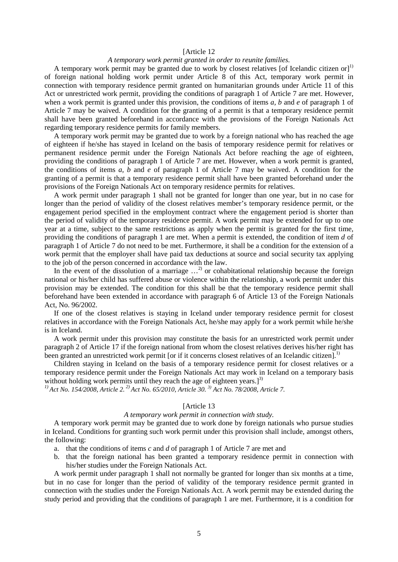### [Article 12

### *A temporary work permit granted in order to reunite families.*

A temporary work permit may be granted due to work by closest relatives [of Icelandic citizen or]<sup>1)</sup> of foreign national holding work permit under Article 8 of this Act, temporary work permit in connection with temporary residence permit granted on humanitarian grounds under Article 11 of this Act or unrestricted work permit, providing the conditions of paragraph 1 of Article 7 are met. However, when a work permit is granted under this provision, the conditions of items *a, b* and *e* of paragraph 1 of Article 7 may be waived. A condition for the granting of a permit is that a temporary residence permit shall have been granted beforehand in accordance with the provisions of the Foreign Nationals Act regarding temporary residence permits for family members.

A temporary work permit may be granted due to work by a foreign national who has reached the age of eighteen if he/she has stayed in Iceland on the basis of temporary residence permit for relatives or permanent residence permit under the Foreign Nationals Act before reaching the age of eighteen, providing the conditions of paragraph 1 of Article 7 are met. However, when a work permit is granted, the conditions of items *a, b* and *e* of paragraph 1 of Article 7 may be waived. A condition for the granting of a permit is that a temporary residence permit shall have been granted beforehand under the provisions of the Foreign Nationals Act on temporary residence permits for relatives.

A work permit under paragraph 1 shall not be granted for longer than one year, but in no case for longer than the period of validity of the closest relatives member's temporary residence permit, or the engagement period specified in the employment contract where the engagement period is shorter than the period of validity of the temporary residence permit. A work permit may be extended for up to one year at a time, subject to the same restrictions as apply when the permit is granted for the first time, providing the conditions of paragraph 1 are met. When a permit is extended, the condition of item *d* of paragraph 1 of Article 7 do not need to be met. Furthermore, it shall be a condition for the extension of a work permit that the employer shall have paid tax deductions at source and social security tax applying to the job of the person concerned in accordance with the law.

In the event of the dissolution of a marriage  $\ldots$ <sup>2)</sup> or cohabitational relationship because the foreign national or his/her child has suffered abuse or violence within the relationship, a work permit under this provision may be extended. The condition for this shall be that the temporary residence permit shall beforehand have been extended in accordance with paragraph 6 of Article 13 of the Foreign Nationals Act, No. 96/2002.

If one of the closest relatives is staying in Iceland under temporary residence permit for closest relatives in accordance with the Foreign Nationals Act, he/she may apply for a work permit while he/she is in Iceland.

A work permit under this provision may constitute the basis for an unrestricted work permit under paragraph 2 of Article 17 if the foreign national from whom the closest relatives derives his/her right has been granted an unrestricted work permit [or if it concerns closest relatives of an Icelandic citizen].<sup>1)</sup>

Children staying in Iceland on the basis of a temporary residence permit for closest relatives or a temporary residence permit under the Foreign Nationals Act may work in Iceland on a temporary basis without holding work permits until they reach the age of eighteen years. $]^{3}$ 

<sup>1)</sup> *Act No. 154/2008, Article 2.*<sup>2)</sup> *Act No. 65/2010, Article 30.*<sup>3)</sup> *Act No. 78/2008, Article 7.* 

### [Article 13]

### *A temporary work permit in connection with study.*

A temporary work permit may be granted due to work done by foreign nationals who pursue studies in Iceland. Conditions for granting such work permit under this provision shall include, amongst others, the following:

- a. that the conditions of items *c* and *d* of paragraph 1 of Article 7 are met and
- b. that the foreign national has been granted a temporary residence permit in connection with his/her studies under the Foreign Nationals Act.

A work permit under paragraph 1 shall not normally be granted for longer than six months at a time, but in no case for longer than the period of validity of the temporary residence permit granted in connection with the studies under the Foreign Nationals Act. A work permit may be extended during the study period and providing that the conditions of paragraph 1 are met. Furthermore, it is a condition for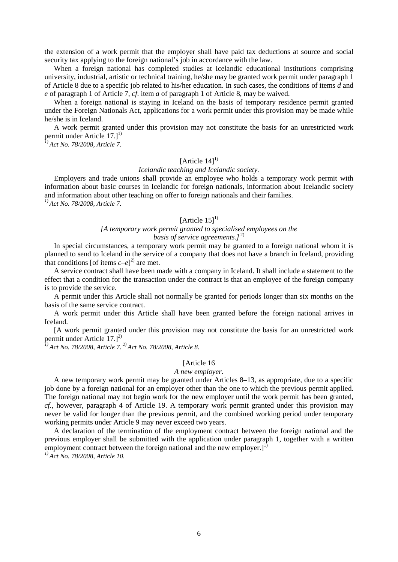the extension of a work permit that the employer shall have paid tax deductions at source and social security tax applying to the foreign national's job in accordance with the law.

When a foreign national has completed studies at Icelandic educational institutions comprising university, industrial, artistic or technical training, he/she may be granted work permit under paragraph 1 of Article 8 due to a specific job related to his/her education. In such cases, the conditions of items *d* and *e* of paragraph 1 of Article 7, *cf.* item *a* of paragraph 1 of Article 8, may be waived.

When a foreign national is staying in Iceland on the basis of temporary residence permit granted under the Foreign Nationals Act, applications for a work permit under this provision may be made while he/she is in Iceland.

A work permit granted under this provision may not constitute the basis for an unrestricted work permit under Article  $17.]^{1}$ 

*1) Act No. 78/2008, Article 7.*

## [Article  $14$ ]<sup>1)</sup>

#### *Icelandic teaching and Icelandic society.*

Employers and trade unions shall provide an employee who holds a temporary work permit with information about basic courses in Icelandic for foreign nationals, information about Icelandic society and information about other teaching on offer to foreign nationals and their families.

*1) Act No. 78/2008, Article 7.*

## [Article  $15$ ]<sup>1)</sup>

## *[A temporary work permit granted to specialised employees on the basis of service agreements.*]<sup>2)</sup>

In special circumstances, a temporary work permit may be granted to a foreign national whom it is planned to send to Iceland in the service of a company that does not have a branch in Iceland, providing that conditions [of items  $c-e$ ]<sup>2)</sup> are met.

A service contract shall have been made with a company in Iceland. It shall include a statement to the effect that a condition for the transaction under the contract is that an employee of the foreign company is to provide the service.

A permit under this Article shall not normally be granted for periods longer than six months on the basis of the same service contract.

A work permit under this Article shall have been granted before the foreign national arrives in Iceland.

[A work permit granted under this provision may not constitute the basis for an unrestricted work permit under Article 17.]<sup>2)</sup>

*1) Act No. 78/2008, Article 7. 2) Act No. 78/2008, Article 8.*

## [Article 16]

### *A new employer.*

A new temporary work permit may be granted under Articles 8–13, as appropriate, due to a specific job done by a foreign national for an employer other than the one to which the previous permit applied. The foreign national may not begin work for the new employer until the work permit has been granted, *cf.*, however, paragraph 4 of Article 19. A temporary work permit granted under this provision may never be valid for longer than the previous permit, and the combined working period under temporary working permits under Article 9 may never exceed two years.

A declaration of the termination of the employment contract between the foreign national and the previous employer shall be submitted with the application under paragraph 1, together with a written employment contract between the foreign national and the new employer. $]^{1}$ 

*1) Act No. 78/2008, Article 10.*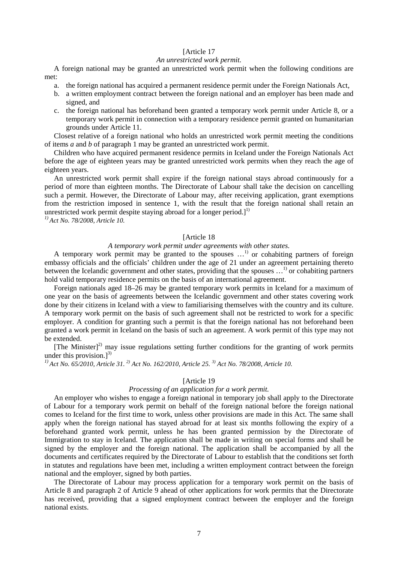### [Article 17

### *An unrestricted work permit.*

A foreign national may be granted an unrestricted work permit when the following conditions are met:

- a. the foreign national has acquired a permanent residence permit under the Foreign Nationals Act,
- b. a written employment contract between the foreign national and an employer has been made and signed, and
- c. the foreign national has beforehand been granted a temporary work permit under Article 8, or a temporary work permit in connection with a temporary residence permit granted on humanitarian grounds under Article 11.

Closest relative of a foreign national who holds an unrestricted work permit meeting the conditions of items *a* and *b* of paragraph 1 may be granted an unrestricted work permit.

Children who have acquired permanent residence permits in Iceland under the Foreign Nationals Act before the age of eighteen years may be granted unrestricted work permits when they reach the age of eighteen years.

An unrestricted work permit shall expire if the foreign national stays abroad continuously for a period of more than eighteen months. The Directorate of Labour shall take the decision on cancelling such a permit. However, the Directorate of Labour may, after receiving application, grant exemptions from the restriction imposed in sentence 1, with the result that the foreign national shall retain an unrestricted work permit despite staying abroad for a longer period.<sup>[1]</sup>

*1) Act No. 78/2008, Article 10.*

## [Article 18]

## *A temporary work permit under agreements with other states.*

A temporary work permit may be granted to the spouses  $\ldots$ <sup>1)</sup> or cohabiting partners of foreign embassy officials and the officials' children under the age of 21 under an agreement pertaining thereto between the Icelandic government and other states, providing that the spouses ...<sup>1)</sup> or cohabiting partners hold valid temporary residence permits on the basis of an international agreement.

Foreign nationals aged 18–26 may be granted temporary work permits in Iceland for a maximum of one year on the basis of agreements between the Icelandic government and other states covering work done by their citizens in Iceland with a view to familiarising themselves with the country and its culture. A temporary work permit on the basis of such agreement shall not be restricted to work for a specific employer. A condition for granting such a permit is that the foreign national has not beforehand been granted a work permit in Iceland on the basis of such an agreement. A work permit of this type may not be extended.

[The Minister]<sup>2)</sup> may issue regulations setting further conditions for the granting of work permits under this provision. $l^{3}$ 

*1) Act No. 65/2010, Article 31. 2) Act No. 162/2010, Article 25. 3) Act No. 78/2008, Article 10.*

## [Article 19]

## *Processing of an application for a work permit.*

An employer who wishes to engage a foreign national in temporary job shall apply to the Directorate of Labour for a temporary work permit on behalf of the foreign national before the foreign national comes to Iceland for the first time to work, unless other provisions are made in this Act. The same shall apply when the foreign national has stayed abroad for at least six months following the expiry of a beforehand granted work permit, unless he has been granted permission by the Directorate of Immigration to stay in Iceland. The application shall be made in writing on special forms and shall be signed by the employer and the foreign national. The application shall be accompanied by all the documents and certificates required by the Directorate of Labour to establish that the conditions set forth in statutes and regulations have been met, including a written employment contract between the foreign national and the employer, signed by both parties.

The Directorate of Labour may process application for a temporary work permit on the basis of Article 8 and paragraph 2 of Article 9 ahead of other applications for work permits that the Directorate has received, providing that a signed employment contract between the employer and the foreign national exists.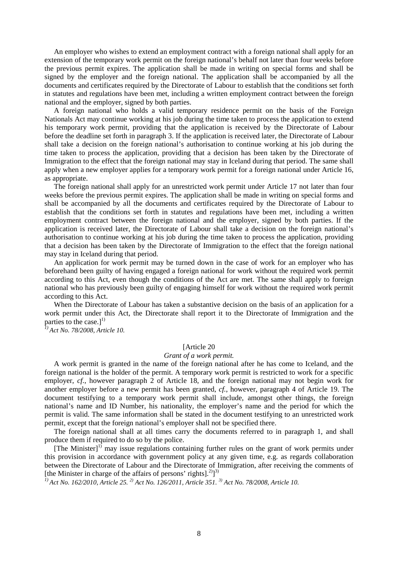An employer who wishes to extend an employment contract with a foreign national shall apply for an extension of the temporary work permit on the foreign national's behalf not later than four weeks before the previous permit expires. The application shall be made in writing on special forms and shall be signed by the employer and the foreign national. The application shall be accompanied by all the documents and certificates required by the Directorate of Labour to establish that the conditions set forth in statutes and regulations have been met, including a written employment contract between the foreign national and the employer, signed by both parties.

A foreign national who holds a valid temporary residence permit on the basis of the Foreign Nationals Act may continue working at his job during the time taken to process the application to extend his temporary work permit, providing that the application is received by the Directorate of Labour before the deadline set forth in paragraph 3. If the application is received later, the Directorate of Labour shall take a decision on the foreign national's authorisation to continue working at his job during the time taken to process the application, providing that a decision has been taken by the Directorate of Immigration to the effect that the foreign national may stay in Iceland during that period. The same shall apply when a new employer applies for a temporary work permit for a foreign national under Article 16, as appropriate.

The foreign national shall apply for an unrestricted work permit under Article 17 not later than four weeks before the previous permit expires. The application shall be made in writing on special forms and shall be accompanied by all the documents and certificates required by the Directorate of Labour to establish that the conditions set forth in statutes and regulations have been met, including a written employment contract between the foreign national and the employer, signed by both parties. If the application is received later, the Directorate of Labour shall take a decision on the foreign national's authorisation to continue working at his job during the time taken to process the application, providing that a decision has been taken by the Directorate of Immigration to the effect that the foreign national may stay in Iceland during that period.

An application for work permit may be turned down in the case of work for an employer who has beforehand been guilty of having engaged a foreign national for work without the required work permit according to this Act, even though the conditions of the Act are met. The same shall apply to foreign national who has previously been guilty of engaging himself for work without the required work permit according to this Act.

When the Directorate of Labour has taken a substantive decision on the basis of an application for a work permit under this Act, the Directorate shall report it to the Directorate of Immigration and the parties to the case.]<sup>1)</sup>

*1) Act No. 78/2008, Article 10.*

## [Article 20]

### *Grant of a work permit.*

A work permit is granted in the name of the foreign national after he has come to Iceland, and the foreign national is the holder of the permit. A temporary work permit is restricted to work for a specific employer, *cf.*, however paragraph 2 of Article 18, and the foreign national may not begin work for another employer before a new permit has been granted, *cf.*, however, paragraph 4 of Article 19. The document testifying to a temporary work permit shall include, amongst other things, the foreign national's name and ID Number, his nationality, the employer's name and the period for which the permit is valid. The same information shall be stated in the document testifying to an unrestricted work permit, except that the foreign national's employer shall not be specified there.

The foreign national shall at all times carry the documents referred to in paragraph 1, and shall produce them if required to do so by the police.

[The Minister] $1<sup>1</sup>$  may issue regulations containing further rules on the grant of work permits under this provision in accordance with government policy at any given time, e.g. as regards collaboration between the Directorate of Labour and the Directorate of Immigration, after receiving the comments of [the Minister in charge of the affairs of persons' rights].<sup>2</sup>]<sup>3)</sup>

*1) Act No. 162/2010, Article 25. 2) Act No. 126/2011, Article 351. 3) Act No. 78/2008, Article 10.*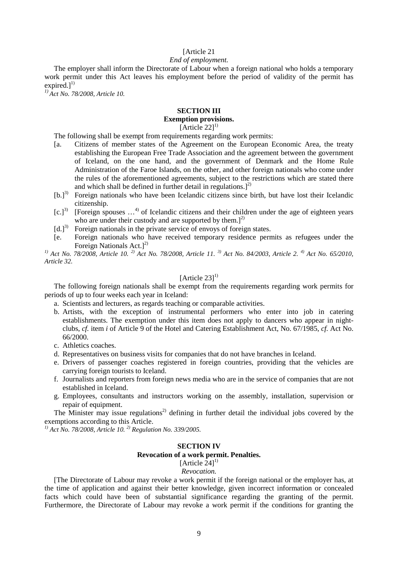## [Article 21]

### *End of employment.*

The employer shall inform the Directorate of Labour when a foreign national who holds a temporary work permit under this Act leaves his employment before the period of validity of the permit has expired. $l^{1}$ 

*1) Act No. 78/2008, Article 10.*

# **SECTION III**

# **Exemption provisions.**

[Article  $22$ ]<sup>1)</sup>

The following shall be exempt from requirements regarding work permits:

- [a. Citizens of member states of the Agreement on the European Economic Area, the treaty establishing the European Free Trade Association and the agreement between the government of Iceland, on the one hand, and the government of Denmark and the Home Rule Administration of the Faroe Islands, on the other, and other foreign nationals who come under the rules of the aforementioned agreements, subject to the restrictions which are stated there and which shall be defined in further detail in regulations.] $^{2)}$
- [b.]<sup>3)</sup> Foreign nationals who have been Icelandic citizens since birth, but have lost their Icelandic citizenship.
- $[c.]<sup>3</sup>$  [Foreign spouses ...<sup>4)</sup> of Icelandic citizens and their children under the age of eighteen years who are under their custody and are supported by them.<sup>[2]</sup>
- $[d.]^{3)}$  Foreign nationals in the private service of envoys of foreign states.
- [e. Foreign nationals who have received temporary residence permits as refugees under the Foreign Nationals Act.]<sup>2)</sup>

*1) Act No. 78/2008, Article 10. 2) Act No. 78/2008, Article 11. 3) Act No. 84/2003, Article 2. 4) Act No. 65/2010, Article 32.*

# $[Article 23]^{1}$

The following foreign nationals shall be exempt from the requirements regarding work permits for periods of up to four weeks each year in Iceland:

- a. Scientists and lecturers, as regards teaching or comparable activities.
- b. Artists, with the exception of instrumental performers who enter into job in catering establishments. The exemption under this item does not apply to dancers who appear in nightclubs, *cf.* item *i* of Article 9 of the Hotel and Catering Establishment Act, No. 67/1985, *cf.* Act No. 66/2000.
- c. Athletics coaches.
- d. Representatives on business visits for companies that do not have branches in Iceland.
- e. Drivers of passenger coaches registered in foreign countries, providing that the vehicles are carrying foreign tourists to Iceland.
- f. Journalists and reporters from foreign news media who are in the service of companies that are not established in Iceland.
- g. Employees, consultants and instructors working on the assembly, installation, supervision or repair of equipment.

The Minister may issue regulations<sup>2)</sup> defining in further detail the individual jobs covered by the exemptions according to this Article.

*1) Act No. 78/2008, Article 10. 2) Regulation No. 339/2005.*

### **SECTION IV**

**Revocation of a work permit. Penalties.**

[Article  $24$ ]<sup>1)</sup>

## *Revocation.*

[The Directorate of Labour may revoke a work permit if the foreign national or the employer has, at the time of application and against their better knowledge, given incorrect information or concealed facts which could have been of substantial significance regarding the granting of the permit. Furthermore, the Directorate of Labour may revoke a work permit if the conditions for granting the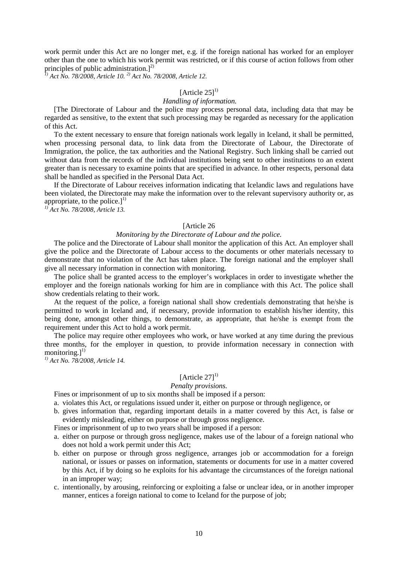work permit under this Act are no longer met, e.g. if the foreign national has worked for an employer other than the one to which his work permit was restricted, or if this course of action follows from other principles of public administration.] $^{2)}$ 

*1) Act No. 78/2008, Article 10. 2) Act No. 78/2008, Article 12.* 

### [Article  $25$ ]<sup>1)</sup>

### *Handling of information.*

[The Directorate of Labour and the police may process personal data, including data that may be regarded as sensitive, to the extent that such processing may be regarded as necessary for the application of this Act.

To the extent necessary to ensure that foreign nationals work legally in Iceland, it shall be permitted, when processing personal data, to link data from the Directorate of Labour, the Directorate of Immigration, the police, the tax authorities and the National Registry. Such linking shall be carried out without data from the records of the individual institutions being sent to other institutions to an extent greater than is necessary to examine points that are specified in advance. In other respects, personal data shall be handled as specified in the Personal Data Act.

If the Directorate of Labour receives information indicating that Icelandic laws and regulations have been violated, the Directorate may make the information over to the relevant supervisory authority or, as appropriate, to the police.] $^{1)}$ 

*1) Act No. 78/2008, Article 13.*

#### [Article 26]

## *Monitoring by the Directorate of Labour and the police.*

The police and the Directorate of Labour shall monitor the application of this Act. An employer shall give the police and the Directorate of Labour access to the documents or other materials necessary to demonstrate that no violation of the Act has taken place. The foreign national and the employer shall give all necessary information in connection with monitoring.

The police shall be granted access to the employer's workplaces in order to investigate whether the employer and the foreign nationals working for him are in compliance with this Act. The police shall show credentials relating to their work.

At the request of the police, a foreign national shall show credentials demonstrating that he/she is permitted to work in Iceland and, if necessary, provide information to establish his/her identity, this being done, amongst other things, to demonstrate, as appropriate, that he/she is exempt from the requirement under this Act to hold a work permit.

The police may require other employees who work, or have worked at any time during the previous three months, for the employer in question, to provide information necessary in connection with monitoring.] $<sup>1</sup>$ </sup>

*1) Act No. 78/2008, Article 14.*

## [Article  $27$ ]<sup>1)</sup>

#### *Penalty provisions.*

### Fines or imprisonment of up to six months shall be imposed if a person:

- a. violates this Act, or regulations issued under it, either on purpose or through negligence, or
- b. gives information that, regarding important details in a matter covered by this Act, is false or evidently misleading, either on purpose or through gross negligence.

Fines or imprisonment of up to two years shall be imposed if a person:

- a. either on purpose or through gross negligence, makes use of the labour of a foreign national who does not hold a work permit under this Act;
- b. either on purpose or through gross negligence, arranges job or accommodation for a foreign national, or issues or passes on information, statements or documents for use in a matter covered by this Act, if by doing so he exploits for his advantage the circumstances of the foreign national in an improper way;
- c. intentionally, by arousing, reinforcing or exploiting a false or unclear idea, or in another improper manner, entices a foreign national to come to Iceland for the purpose of job;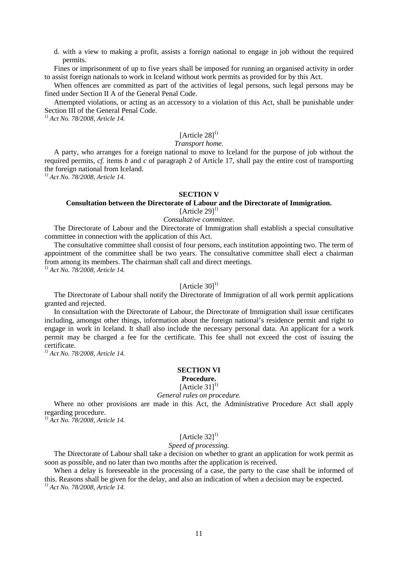d. with a view to making a profit, assists a foreign national to engage in job without the required permits.

Fines or imprisonment of up to five years shall be imposed for running an organised activity in order to assist foreign nationals to work in Iceland without work permits as provided for by this Act.

When offences are committed as part of the activities of legal persons, such legal persons may be fined under Section II A of the General Penal Code.

Attempted violations, or acting as an accessory to a violation of this Act, shall be punishable under Section III of the General Penal Code.

*1) Act No. 78/2008, Article 14.*

# [Article 28]<sup>1)</sup>

# *Transport home.*

A party, who arranges for a foreign national to move to Iceland for the purpose of job without the required permits, *cf.* items *b* and *c* of paragraph 2 of Article 17, shall pay the entire cost of transporting the foreign national from Iceland.

*1) Act No. 78/2008, Article 14.*

### **SECTION V**

## **Consultation between the Directorate of Labour and the Directorate of Immigration.** [Article 29]<sup>1)</sup>

# *Consultative committee.*

The Directorate of Labour and the Directorate of Immigration shall establish a special consultative committee in connection with the application of this Act.

The consultative committee shall consist of four persons, each institution appointing two. The term of appointment of the committee shall be two years. The consultative committee shall elect a chairman from among its members. The chairman shall call and direct meetings. *1) Act No. 78/2008, Article 14.*

## [Article  $30$ ]<sup>1)</sup>

The Directorate of Labour shall notify the Directorate of Immigration of all work permit applications granted and rejected.

In consultation with the Directorate of Labour, the Directorate of Immigration shall issue certificates including, amongst other things, information about the foreign national's residence permit and right to engage in work in Iceland. It shall also include the necessary personal data. An applicant for a work permit may be charged a fee for the certificate. This fee shall not exceed the cost of issuing the certificate.

*1) Act No. 78/2008, Article 14.*

# **SECTION VI**

# **Procedure.**

[Article  $31$ ]<sup>1)</sup>

## *General rules on procedure.*

Where no other provisions are made in this Act, the Administrative Procedure Act shall apply regarding procedure.

*1) Act No. 78/2008, Article 14.*

# [Article  $321^{1}$ ]

# *Speed of processing.*

The Directorate of Labour shall take a decision on whether to grant an application for work permit as soon as possible, and no later than two months after the application is received.

When a delay is foreseeable in the processing of a case, the party to the case shall be informed of this. Reasons shall be given for the delay, and also an indication of when a decision may be expected. *1) Act No. 78/2008, Article 14.*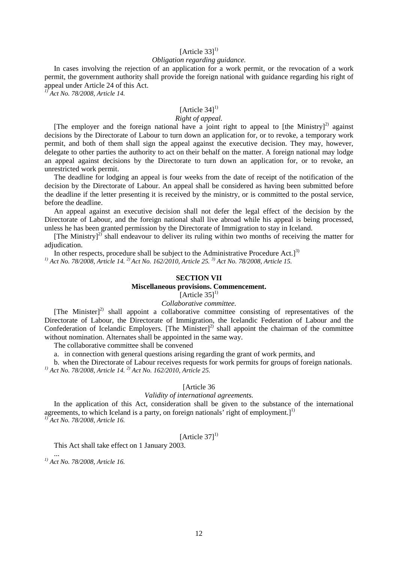# [Article  $33$ ]<sup>1)</sup>

### *Obligation regarding guidance.*

In cases involving the rejection of an application for a work permit, or the revocation of a work permit, the government authority shall provide the foreign national with guidance regarding his right of appeal under Article 24 of this Act.

*1) Act No. 78/2008, Article 14.*

# [Article  $34$ ]<sup>1)</sup>

# *Right of appeal.*

[The employer and the foreign national have a joint right to appeal to [the Ministry]<sup>2)</sup> against decisions by the Directorate of Labour to turn down an application for, or to revoke, a temporary work permit, and both of them shall sign the appeal against the executive decision. They may, however, delegate to other parties the authority to act on their behalf on the matter. A foreign national may lodge an appeal against decisions by the Directorate to turn down an application for, or to revoke, an unrestricted work permit.

The deadline for lodging an appeal is four weeks from the date of receipt of the notification of the decision by the Directorate of Labour. An appeal shall be considered as having been submitted before the deadline if the letter presenting it is received by the ministry, or is committed to the postal service, before the deadline.

An appeal against an executive decision shall not defer the legal effect of the decision by the Directorate of Labour, and the foreign national shall live abroad while his appeal is being processed, unless he has been granted permission by the Directorate of Immigration to stay in Iceland.

[The Ministry] $^{2)}$  shall endeavour to deliver its ruling within two months of receiving the matter for adjudication.

In other respects, procedure shall be subject to the Administrative Procedure Act.<sup>[3]</sup> *1) Act No. 78/2008, Article 14. 2) Act No. 162/2010, Article 25. 3) Act No. 78/2008, Article 15.*

## **SECTION VII**

## **Miscellaneous provisions. Commencement.**

[Article  $35$ ]<sup>1)</sup>

## *Collaborative committee.*

[The Minister]<sup>2)</sup> shall appoint a collaborative committee consisting of representatives of the Directorate of Labour, the Directorate of Immigration, the Icelandic Federation of Labour and the Confederation of Icelandic Employers. [The Minister] $^{2)}$  shall appoint the chairman of the committee without nomination. Alternates shall be appointed in the same way.

The collaborative committee shall be convened

a. in connection with general questions arising regarding the grant of work permits, and

b. when the Directorate of Labour receives requests for work permits for groups of foreign nationals. *1) Act No. 78/2008, Article 14. 2) Act No. 162/2010, Article 25.* 

## [Article 36]

### *Validity of international agreements.*

In the application of this Act, consideration shall be given to the substance of the international agreements, to which Iceland is a party, on foreign nationals' right of employment. $]^{1}$ *1) Act No. 78/2008, Article 16.*

# [Article  $371^{1}$ ]

This Act shall take effect on 1 January 2003.

... *1) Act No. 78/2008, Article 16.*